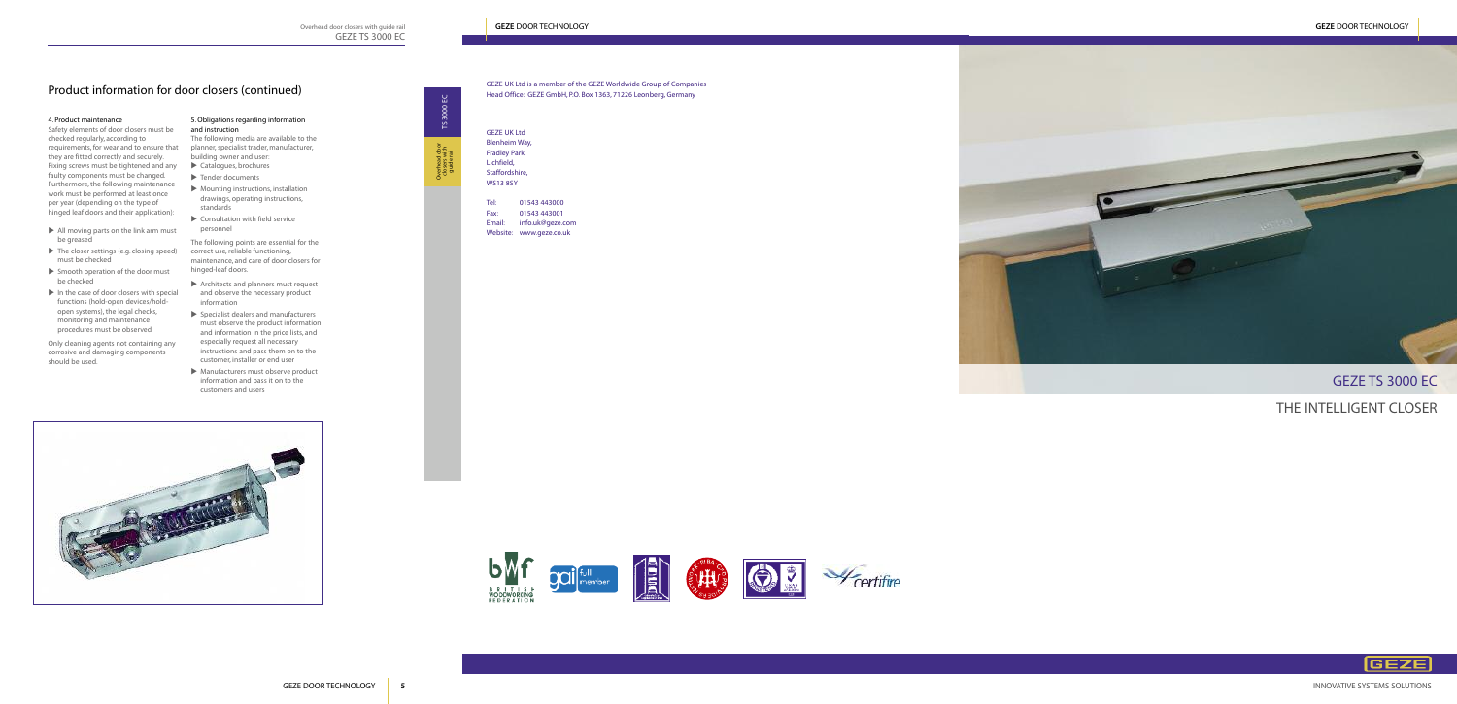### 4. Product maintenance

Safety elements of door closers must be checked regularly, according to requirements, for wear and to ensure that they are fitted correctly and securely. Fixing screws must be tightened and any faulty components must be changed. Furthermore, the following maintenance work must be performed at least once per year (depending on the type of hinged leaf doors and their application):

- $\blacktriangleright$  All moving parts on the link arm must be greased
- $\blacktriangleright$  The closer settings (e.g. closing speed) must be checked
- $\triangleright$  Smooth operation of the door must be checked
- $\blacktriangleright$  In the case of door closers with special functions (hold-open devices/holdopen systems), the legal checks, monitoring and maintenance procedures must be observed
- $\blacktriangleright$  Catalogues, brochures
- $\blacktriangleright$  Tender documents
- $\blacktriangleright$  Mounting instructions, installation drawings, operating instructions, standards
- $\blacktriangleright$  Consultation with field service personnel

Only cleaning agents not containing any corrosive and damaging components should be used.

- $\blacktriangleright$  Architects and planners must request and observe the necessary product information
- $\blacktriangleright$  Specialist dealers and manufacturers must observe the product information and information in the price lists, and especially request all necessary instructions and pass them on to the customer, installer or end user
- $\blacktriangleright$  Manufacturers must observe product information and pass it on to the customers and users



#### 5.Obligations regarding information and instruction

The following media are available to the planner,specialist trader, manufacturer, building owner and user:

The following points are essential for the correct use, reliable functioning, maintenance, and care of door closers for hinged-leaf doors.

### Product information for door closers (continued)

THE INTELLIGENT CLOSER







GEZE UK Ltd Blenheim Way, Fradley Park, Lichfield, Staffordshire, WS13 8SY

Tel: 01543 443000 Fax: 01543 443001 Email: info.uk@geze.com Website: www.geze.co.uk



### GEZE UK Ltd is a member of the GEZE Worldwide Group of Companies Head Office: GEZE GmbH, P.O. Box 1363, 71226 Leonberg, Germany

INNOVATIVE SYSTEMS SOLUTIONS